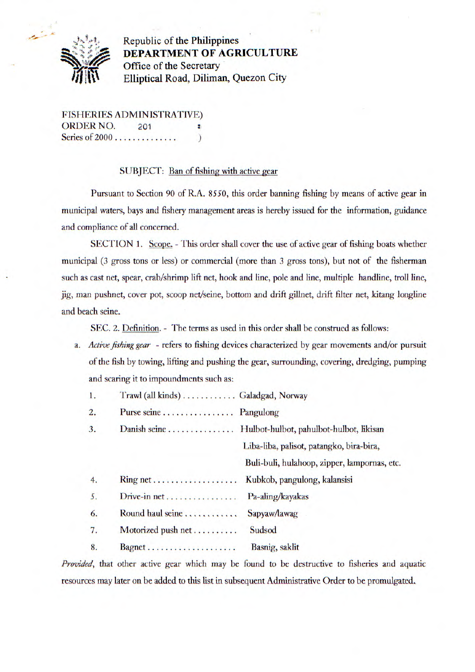

Republic of the Philippines ' **DEPARTMENT OF** AGRICULTURE Office of the Secretary **Elliptical Road, Diliman, Quezon City** 

FISHERIES ADMINISTRATIVE) ORDER NO. 201 ÷ Series of 2000 ..............)

## SUBJECT: Ban of fishing with active gear

Pursuant to Section 90 of R.A. *8550,* this order banning fishing by means of active gear in municipal waters, bays and fishery management areas is hereby issued for the information, guidance and compliance of all concerned.

SECTION 1. Scope. - This order shall cover the use of active gear of fishing boats whether municipal (3 gross tons or less) or commercial (more than 3 gross tons), but not of the fisherman such as cast net, spear, crab/shrimp lift net, hook and line, pole and line, multiple handline, troll line, jig, man pushnet, cover pot, scoop net/seine, bottom and drift gillnet, drift filter net, kitang longline and beach seine.

SEC. 2. Definition. - The terms as used in this order shall be construed as follows:

- a. *Active fishing gear* refers to fishing devices characterized by gear movements and/or pursuit of the fish by towing, lifling and pushing the gear, surrounding, covering, dredging, pumping and scaring it to impoundments such as:
	- 1. Trawl (all kinds) ............. Galadgad, Norway 2. Purse seine ................Pangulong 3. Danish seine ...............1-lulbot-hulbot, pahulbot-hulbot, likisan Liba-liba, palisot, patangko, bira-bira, Buli-buli, hulahoop, zipper, lampornas, etc. 4. Ring net...................Kubkob, pangulong, kalansisi 5. Drive-in net...................... Pa-aling/kayakas 6. Round haul seine . . . . . . . . .... Sapyaw/lawag 7. Motorized push net ........... Sudsod 8. Bagnet..................... Basnig, saklit

*Provided,* that other active gear which may be found to be destructive to fisheries and aquatic resources may later on be added to this list in subsequent Administrative Order to be promulgated..